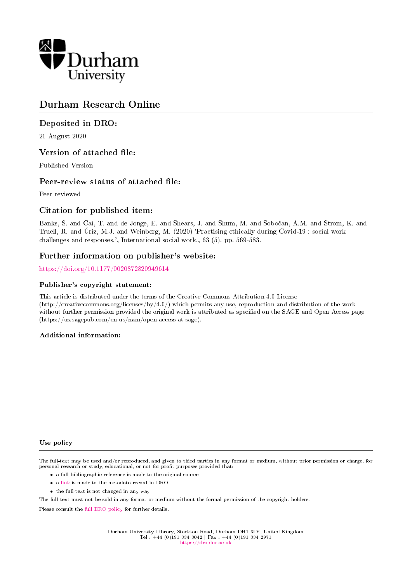

# Durham Research Online

## Deposited in DRO:

21 August 2020

### Version of attached file:

Published Version

### Peer-review status of attached file:

Peer-reviewed

### Citation for published item:

Banks, S. and Cai, T. and de Jonge, E. and Shears, J. and Shum, M. and Sobocan, A.M. and Strom, K. and Truell, R. and Uriz, M.J. and Weinberg, M. (2020) 'Practising ethically during Covid-19 : social work challenges and responses.', International social work., 63 (5). pp. 569-583.

### Further information on publisher's website:

<https://doi.org/10.1177/0020872820949614>

### Publisher's copyright statement:

This article is distributed under the terms of the Creative Commons Attribution 4.0 License (http://creativecommons.org/licenses/by/4.0/) which permits any use, reproduction and distribution of the work without further permission provided the original work is attributed as specified on the SAGE and Open Access page (https://us.sagepub.com/en-us/nam/open-access-at-sage).

### Additional information:

#### Use policy

The full-text may be used and/or reproduced, and given to third parties in any format or medium, without prior permission or charge, for personal research or study, educational, or not-for-profit purposes provided that:

- a full bibliographic reference is made to the original source
- a [link](http://dro.dur.ac.uk/31566/) is made to the metadata record in DRO
- the full-text is not changed in any way

The full-text must not be sold in any format or medium without the formal permission of the copyright holders.

Please consult the [full DRO policy](https://dro.dur.ac.uk/policies/usepolicy.pdf) for further details.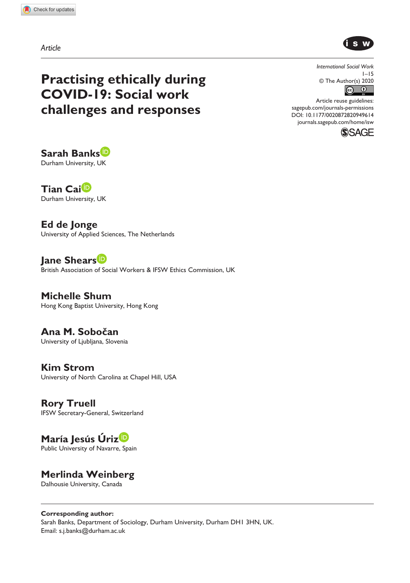*Article*



# **Practising ethically during COVID-19: Social work challenges and responses**

*International Social Work* 1–15 © The Author(s) 2020  $\circledcirc$   $\circledcirc$ 

DOI: 10.1177/0020872820949614 Article reuse guidelines: [sagepub.com/journals-permissions](https://uk.sagepub.com/en-gb/journals-permissions) [journals.sagepub.com/home/isw](https://journals.sagepub.com/home/isw)



**Sarah Banks** Durham University, UK

**Tian Cai** Durham University, UK

**Ed de Jonge** University of Applied Sciences, The Netherlands

**Jane Shears** British Association of Social Workers & IFSW Ethics Commission, UK

**Michelle Shum** Hong Kong Baptist University, Hong Kong

**Ana M. Sobočan** University of Ljubljana, Slovenia

**Kim Strom** University of North Carolina at Chapel Hill, USA

**Rory Truell** IFSW Secretary-General, Switzerland

**María Jesús Úriz** Public University of Navarre, Spain

# **Merlinda Weinberg**

Dalhousie University, Canada

**Corresponding author:**

Sarah Banks, Department of Sociology, Durham University, Durham DH1 3HN, UK. Email: [s.j.banks@durham.ac.uk](mailto:s.j.banks@durham.ac.uk)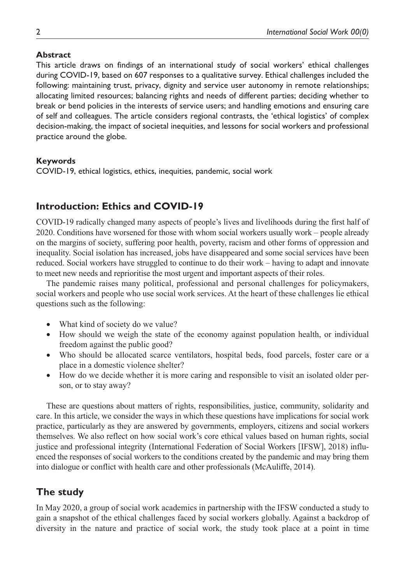### **Abstract**

This article draws on findings of an international study of social workers' ethical challenges during COVID-19, based on 607 responses to a qualitative survey. Ethical challenges included the following: maintaining trust, privacy, dignity and service user autonomy in remote relationships; allocating limited resources; balancing rights and needs of different parties; deciding whether to break or bend policies in the interests of service users; and handling emotions and ensuring care of self and colleagues. The article considers regional contrasts, the 'ethical logistics' of complex decision-making, the impact of societal inequities, and lessons for social workers and professional practice around the globe.

### **Keywords**

COVID-19, ethical logistics, ethics, inequities, pandemic, social work

## **Introduction: Ethics and COVID-19**

COVID-19 radically changed many aspects of people's lives and livelihoods during the first half of 2020. Conditions have worsened for those with whom social workers usually work – people already on the margins of society, suffering poor health, poverty, racism and other forms of oppression and inequality. Social isolation has increased, jobs have disappeared and some social services have been reduced. Social workers have struggled to continue to do their work – having to adapt and innovate to meet new needs and reprioritise the most urgent and important aspects of their roles.

The pandemic raises many political, professional and personal challenges for policymakers, social workers and people who use social work services. At the heart of these challenges lie ethical questions such as the following:

- What kind of society do we value?
- How should we weigh the state of the economy against population health, or individual freedom against the public good?
- Who should be allocated scarce ventilators, hospital beds, food parcels, foster care or a place in a domestic violence shelter?
- How do we decide whether it is more caring and responsible to visit an isolated older person, or to stay away?

These are questions about matters of rights, responsibilities, justice, community, solidarity and care. In this article, we consider the ways in which these questions have implications for social work practice, particularly as they are answered by governments, employers, citizens and social workers themselves. We also reflect on how social work's core ethical values based on human rights, social justice and professional integrity (International Federation of Social Workers [IFSW], 2018) influenced the responses of social workers to the conditions created by the pandemic and may bring them into dialogue or conflict with health care and other professionals (McAuliffe, 2014).

# **The study**

In May 2020, a group of social work academics in partnership with the IFSW conducted a study to gain a snapshot of the ethical challenges faced by social workers globally. Against a backdrop of diversity in the nature and practice of social work, the study took place at a point in time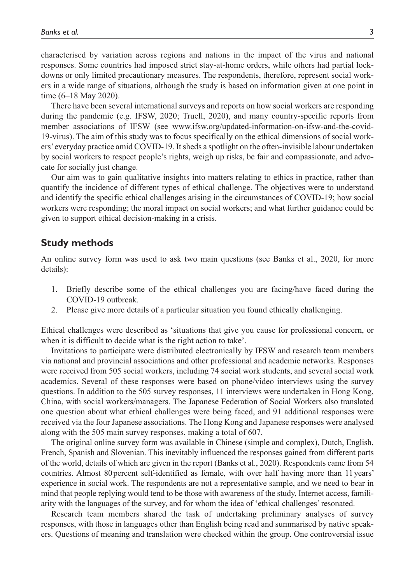characterised by variation across regions and nations in the impact of the virus and national responses. Some countries had imposed strict stay-at-home orders, while others had partial lockdowns or only limited precautionary measures. The respondents, therefore, represent social workers in a wide range of situations, although the study is based on information given at one point in time (6–18 May 2020).

There have been several international surveys and reports on how social workers are responding during the pandemic (e.g. IFSW, 2020; Truell, 2020), and many country-specific reports from member associations of IFSW (see [www.ifsw.org/updated-information-on-ifsw-and-the-covid-](www.ifsw.org/updated-information-on-ifsw-and-the-covid-19-virus)[19-virus\)](www.ifsw.org/updated-information-on-ifsw-and-the-covid-19-virus). The aim of this study was to focus specifically on the ethical dimensions of social workers' everyday practice amid COVID-19. It sheds a spotlight on the often-invisible labour undertaken by social workers to respect people's rights, weigh up risks, be fair and compassionate, and advocate for socially just change.

Our aim was to gain qualitative insights into matters relating to ethics in practice, rather than quantify the incidence of different types of ethical challenge. The objectives were to understand and identify the specific ethical challenges arising in the circumstances of COVID-19; how social workers were responding; the moral impact on social workers; and what further guidance could be given to support ethical decision-making in a crisis.

#### **Study methods**

An online survey form was used to ask two main questions (see Banks et al., 2020, for more details):

- 1. Briefly describe some of the ethical challenges you are facing/have faced during the COVID-19 outbreak.
- 2. Please give more details of a particular situation you found ethically challenging.

Ethical challenges were described as 'situations that give you cause for professional concern, or when it is difficult to decide what is the right action to take'.

Invitations to participate were distributed electronically by IFSW and research team members via national and provincial associations and other professional and academic networks. Responses were received from 505 social workers, including 74 social work students, and several social work academics. Several of these responses were based on phone/video interviews using the survey questions. In addition to the 505 survey responses, 11 interviews were undertaken in Hong Kong, China, with social workers/managers. The Japanese Federation of Social Workers also translated one question about what ethical challenges were being faced, and 91 additional responses were received via the four Japanese associations. The Hong Kong and Japanese responses were analysed along with the 505 main survey responses, making a total of 607.

The original online survey form was available in Chinese (simple and complex), Dutch, English, French, Spanish and Slovenian. This inevitably influenced the responses gained from different parts of the world, details of which are given in the report (Banks et al., 2020). Respondents came from 54 countries. Almost 80percent self-identified as female, with over half having more than 11years' experience in social work. The respondents are not a representative sample, and we need to bear in mind that people replying would tend to be those with awareness of the study, Internet access, familiarity with the languages of the survey, and for whom the idea of 'ethical challenges' resonated.

Research team members shared the task of undertaking preliminary analyses of survey responses, with those in languages other than English being read and summarised by native speakers. Questions of meaning and translation were checked within the group. One controversial issue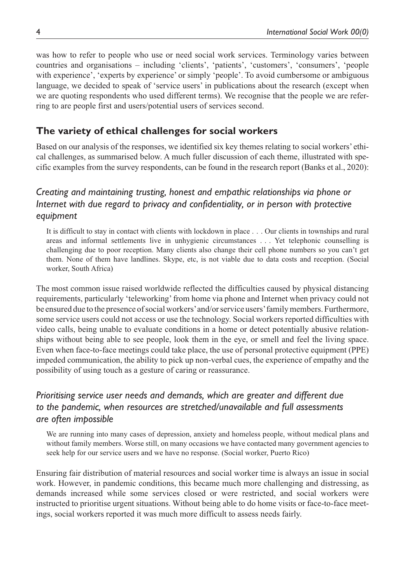was how to refer to people who use or need social work services. Terminology varies between countries and organisations – including 'clients', 'patients', 'customers', 'consumers', 'people with experience', 'experts by experience' or simply 'people'. To avoid cumbersome or ambiguous language, we decided to speak of 'service users' in publications about the research (except when we are quoting respondents who used different terms). We recognise that the people we are referring to are people first and users/potential users of services second.

### **The variety of ethical challenges for social workers**

Based on our analysis of the responses, we identified six key themes relating to social workers' ethical challenges, as summarised below. A much fuller discussion of each theme, illustrated with specific examples from the survey respondents, can be found in the research report (Banks et al., 2020):

### *Creating and maintaining trusting, honest and empathic relationships via phone or Internet with due regard to privacy and confidentiality, or in person with protective equipment*

It is difficult to stay in contact with clients with lockdown in place . . . Our clients in townships and rural areas and informal settlements live in unhygienic circumstances . . . Yet telephonic counselling is challenging due to poor reception. Many clients also change their cell phone numbers so you can't get them. None of them have landlines. Skype, etc, is not viable due to data costs and reception. (Social worker, South Africa)

The most common issue raised worldwide reflected the difficulties caused by physical distancing requirements, particularly 'teleworking' from home via phone and Internet when privacy could not be ensured due to the presence of social workers' and/or service users' family members. Furthermore, some service users could not access or use the technology. Social workers reported difficulties with video calls, being unable to evaluate conditions in a home or detect potentially abusive relationships without being able to see people, look them in the eye, or smell and feel the living space. Even when face-to-face meetings could take place, the use of personal protective equipment (PPE) impeded communication, the ability to pick up non-verbal cues, the experience of empathy and the possibility of using touch as a gesture of caring or reassurance.

### *Prioritising service user needs and demands, which are greater and different due to the pandemic, when resources are stretched/unavailable and full assessments are often impossible*

We are running into many cases of depression, anxiety and homeless people, without medical plans and without family members. Worse still, on many occasions we have contacted many government agencies to seek help for our service users and we have no response. (Social worker, Puerto Rico)

Ensuring fair distribution of material resources and social worker time is always an issue in social work. However, in pandemic conditions, this became much more challenging and distressing, as demands increased while some services closed or were restricted, and social workers were instructed to prioritise urgent situations. Without being able to do home visits or face-to-face meetings, social workers reported it was much more difficult to assess needs fairly.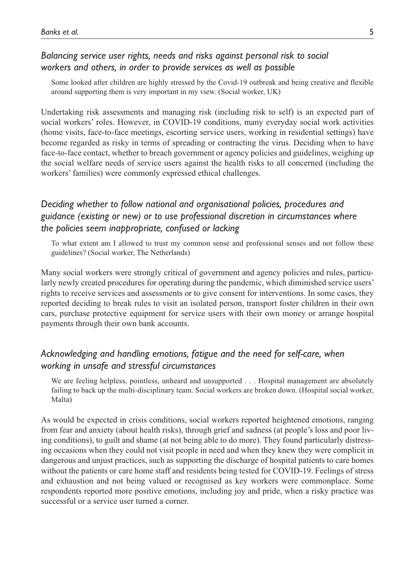### *Balancing service user rights, needs and risks against personal risk to social workers and others, in order to provide services as well as possible*

Some looked after children are highly stressed by the Covid-19 outbreak and being creative and flexible around supporting them is very important in my view. (Social worker, UK)

Undertaking risk assessments and managing risk (including risk to self) is an expected part of social workers' roles. However, in COVID-19 conditions, many everyday social work activities (home visits, face-to-face meetings, escorting service users, working in residential settings) have become regarded as risky in terms of spreading or contracting the virus. Deciding when to have face-to-face contact, whether to breach government or agency policies and guidelines, weighing up the social welfare needs of service users against the health risks to all concerned (including the workers' families) were commonly expressed ethical challenges.

### *Deciding whether to follow national and organisational policies, procedures and guidance (existing or new) or to use professional discretion in circumstances where the policies seem inappropriate, confused or lacking*

To what extent am I allowed to trust my common sense and professional senses and not follow these guidelines? (Social worker, The Netherlands)

Many social workers were strongly critical of government and agency policies and rules, particularly newly created procedures for operating during the pandemic, which diminished service users' rights to receive services and assessments or to give consent for interventions. In some cases, they reported deciding to break rules to visit an isolated person, transport foster children in their own cars, purchase protective equipment for service users with their own money or arrange hospital payments through their own bank accounts.

### *Acknowledging and handling emotions, fatigue and the need for self-care, when working in unsafe and stressful circumstances*

We are feeling helpless, pointless, unheard and unsupported . . . Hospital management are absolutely failing to back up the multi-disciplinary team. Social workers are broken down. (Hospital social worker, Malta)

As would be expected in crisis conditions, social workers reported heightened emotions, ranging from fear and anxiety (about health risks), through grief and sadness (at people's loss and poor living conditions), to guilt and shame (at not being able to do more). They found particularly distressing occasions when they could not visit people in need and when they knew they were complicit in dangerous and unjust practices, such as supporting the discharge of hospital patients to care homes without the patients or care home staff and residents being tested for COVID-19. Feelings of stress and exhaustion and not being valued or recognised as key workers were commonplace. Some respondents reported more positive emotions, including joy and pride, when a risky practice was successful or a service user turned a corner.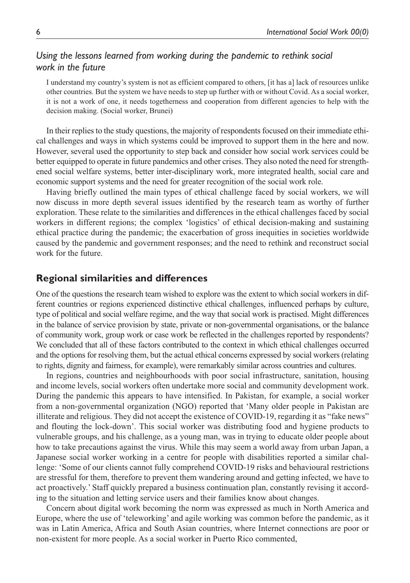### Using the lessons learned from working during the pandemic to rethink social *work in the future*

I understand my country's system is not as efficient compared to others, [it has a] lack of resources unlike other countries. But the system we have needs to step up further with or without Covid. As a social worker, it is not a work of one, it needs togetherness and cooperation from different agencies to help with the decision making. (Social worker, Brunei)

In their replies to the study questions, the majority of respondents focused on their immediate ethical challenges and ways in which systems could be improved to support them in the here and now. However, several used the opportunity to step back and consider how social work services could be better equipped to operate in future pandemics and other crises. They also noted the need for strengthened social welfare systems, better inter-disciplinary work, more integrated health, social care and economic support systems and the need for greater recognition of the social work role.

Having briefly outlined the main types of ethical challenge faced by social workers, we will now discuss in more depth several issues identified by the research team as worthy of further exploration. These relate to the similarities and differences in the ethical challenges faced by social workers in different regions; the complex 'logistics' of ethical decision-making and sustaining ethical practice during the pandemic; the exacerbation of gross inequities in societies worldwide caused by the pandemic and government responses; and the need to rethink and reconstruct social work for the future.

#### **Regional similarities and differences**

One of the questions the research team wished to explore was the extent to which social workers in different countries or regions experienced distinctive ethical challenges, influenced perhaps by culture, type of political and social welfare regime, and the way that social work is practised. Might differences in the balance of service provision by state, private or non-governmental organisations, or the balance of community work, group work or case work be reflected in the challenges reported by respondents? We concluded that all of these factors contributed to the context in which ethical challenges occurred and the options for resolving them, but the actual ethical concerns expressed by social workers (relating to rights, dignity and fairness, for example), were remarkably similar across countries and cultures.

In regions, countries and neighbourhoods with poor social infrastructure, sanitation, housing and income levels, social workers often undertake more social and community development work. During the pandemic this appears to have intensified. In Pakistan, for example, a social worker from a non-governmental organization (NGO) reported that 'Many older people in Pakistan are illiterate and religious. They did not accept the existence of COVID-19, regarding it as "fake news" and flouting the lock-down'. This social worker was distributing food and hygiene products to vulnerable groups, and his challenge, as a young man, was in trying to educate older people about how to take precautions against the virus. While this may seem a world away from urban Japan, a Japanese social worker working in a centre for people with disabilities reported a similar challenge: 'Some of our clients cannot fully comprehend COVID-19 risks and behavioural restrictions are stressful for them, therefore to prevent them wandering around and getting infected, we have to act proactively.' Staff quickly prepared a business continuation plan, constantly revising it according to the situation and letting service users and their families know about changes.

Concern about digital work becoming the norm was expressed as much in North America and Europe, where the use of 'teleworking' and agile working was common before the pandemic, as it was in Latin America, Africa and South Asian countries, where Internet connections are poor or non-existent for more people. As a social worker in Puerto Rico commented,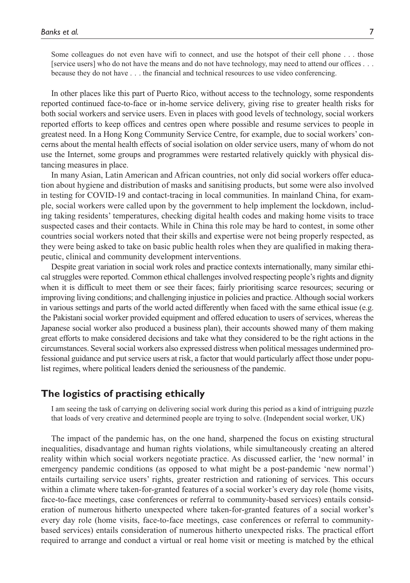Some colleagues do not even have wifi to connect, and use the hotspot of their cell phone . . . those [service users] who do not have the means and do not have technology, may need to attend our offices . . . because they do not have . . . the financial and technical resources to use video conferencing.

In other places like this part of Puerto Rico, without access to the technology, some respondents reported continued face-to-face or in-home service delivery, giving rise to greater health risks for both social workers and service users. Even in places with good levels of technology, social workers reported efforts to keep offices and centres open where possible and resume services to people in greatest need. In a Hong Kong Community Service Centre, for example, due to social workers' concerns about the mental health effects of social isolation on older service users, many of whom do not use the Internet, some groups and programmes were restarted relatively quickly with physical distancing measures in place.

In many Asian, Latin American and African countries, not only did social workers offer education about hygiene and distribution of masks and sanitising products, but some were also involved in testing for COVID-19 and contact-tracing in local communities. In mainland China, for example, social workers were called upon by the government to help implement the lockdown, including taking residents' temperatures, checking digital health codes and making home visits to trace suspected cases and their contacts. While in China this role may be hard to contest, in some other countries social workers noted that their skills and expertise were not being properly respected, as they were being asked to take on basic public health roles when they are qualified in making therapeutic, clinical and community development interventions.

Despite great variation in social work roles and practice contexts internationally, many similar ethical struggles were reported. Common ethical challenges involved respecting people's rights and dignity when it is difficult to meet them or see their faces; fairly prioritising scarce resources; securing or improving living conditions; and challenging injustice in policies and practice. Although social workers in various settings and parts of the world acted differently when faced with the same ethical issue (e.g. the Pakistani social worker provided equipment and offered education to users of services, whereas the Japanese social worker also produced a business plan), their accounts showed many of them making great efforts to make considered decisions and take what they considered to be the right actions in the circumstances. Several social workers also expressed distress when political messages undermined professional guidance and put service users at risk, a factor that would particularly affect those under populist regimes, where political leaders denied the seriousness of the pandemic.

#### **The logistics of practising ethically**

I am seeing the task of carrying on delivering social work during this period as a kind of intriguing puzzle that loads of very creative and determined people are trying to solve. (Independent social worker, UK)

The impact of the pandemic has, on the one hand, sharpened the focus on existing structural inequalities, disadvantage and human rights violations, while simultaneously creating an altered reality within which social workers negotiate practice. As discussed earlier, the 'new normal' in emergency pandemic conditions (as opposed to what might be a post-pandemic 'new normal') entails curtailing service users' rights, greater restriction and rationing of services. This occurs within a climate where taken-for-granted features of a social worker's every day role (home visits, face-to-face meetings, case conferences or referral to community-based services) entails consideration of numerous hitherto unexpected where taken-for-granted features of a social worker's every day role (home visits, face-to-face meetings, case conferences or referral to communitybased services) entails consideration of numerous hitherto unexpected risks. The practical effort required to arrange and conduct a virtual or real home visit or meeting is matched by the ethical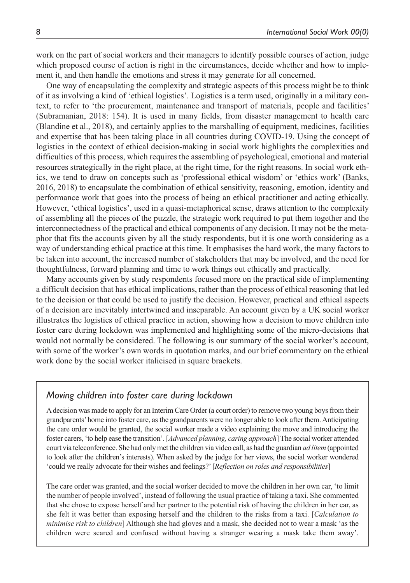work on the part of social workers and their managers to identify possible courses of action, judge which proposed course of action is right in the circumstances, decide whether and how to implement it, and then handle the emotions and stress it may generate for all concerned.

One way of encapsulating the complexity and strategic aspects of this process might be to think of it as involving a kind of 'ethical logistics'. Logistics is a term used, originally in a military context, to refer to 'the procurement, maintenance and transport of materials, people and facilities' (Subramanian, 2018: 154). It is used in many fields, from disaster management to health care (Blandine et al., 2018), and certainly applies to the marshalling of equipment, medicines, facilities and expertise that has been taking place in all countries during COVID-19. Using the concept of logistics in the context of ethical decision-making in social work highlights the complexities and difficulties of this process, which requires the assembling of psychological, emotional and material resources strategically in the right place, at the right time, for the right reasons. In social work ethics, we tend to draw on concepts such as 'professional ethical wisdom' or 'ethics work' (Banks, 2016, 2018) to encapsulate the combination of ethical sensitivity, reasoning, emotion, identity and performance work that goes into the process of being an ethical practitioner and acting ethically. However, 'ethical logistics', used in a quasi-metaphorical sense, draws attention to the complexity of assembling all the pieces of the puzzle, the strategic work required to put them together and the interconnectedness of the practical and ethical components of any decision. It may not be the metaphor that fits the accounts given by all the study respondents, but it is one worth considering as a way of understanding ethical practice at this time. It emphasises the hard work, the many factors to be taken into account, the increased number of stakeholders that may be involved, and the need for thoughtfulness, forward planning and time to work things out ethically and practically.

Many accounts given by study respondents focused more on the practical side of implementing a difficult decision that has ethical implications, rather than the process of ethical reasoning that led to the decision or that could be used to justify the decision. However, practical and ethical aspects of a decision are inevitably intertwined and inseparable. An account given by a UK social worker illustrates the logistics of ethical practice in action, showing how a decision to move children into foster care during lockdown was implemented and highlighting some of the micro-decisions that would not normally be considered. The following is our summary of the social worker's account, with some of the worker's own words in quotation marks, and our brief commentary on the ethical work done by the social worker italicised in square brackets.

### *Moving children into foster care during lockdown*

A decision was made to apply for an Interim Care Order (a court order) to remove two young boys from their grandparents' home into foster care, as the grandparents were no longer able to look after them. Anticipating the care order would be granted, the social worker made a video explaining the move and introducing the foster carers, 'to help ease the transition'. [*Advanced planning, caring approach*] The social worker attended court via teleconference. She had only met the children via video call, as had the guardian *ad litem* (appointed to look after the children's interests). When asked by the judge for her views, the social worker wondered 'could we really advocate for their wishes and feelings?' [*Reflection on roles and responsibilities*]

The care order was granted, and the social worker decided to move the children in her own car, 'to limit the number of people involved', instead of following the usual practice of taking a taxi. She commented that she chose to expose herself and her partner to the potential risk of having the children in her car, as she felt it was better than exposing herself and the children to the risks from a taxi. [*Calculation to minimise risk to children*] Although she had gloves and a mask, she decided not to wear a mask 'as the children were scared and confused without having a stranger wearing a mask take them away'.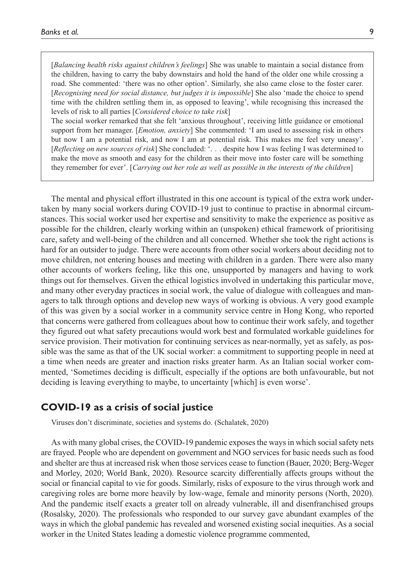[*Balancing health risks against children's feelings*] She was unable to maintain a social distance from the children, having to carry the baby downstairs and hold the hand of the older one while crossing a road. She commented: 'there was no other option'. Similarly, she also came close to the foster carer. [*Recognising need for social distance, but judges it is impossible*] She also 'made the choice to spend time with the children settling them in, as opposed to leaving', while recognising this increased the levels of risk to all parties [*Considered choice to take risk*]

The social worker remarked that she felt 'anxious throughout', receiving little guidance or emotional support from her manager. [*Emotion, anxiety*] She commented: 'I am used to assessing risk in others but now I am a potential risk, and now I am at potential risk. This makes me feel very uneasy'. [*Reflecting on new sources of risk*] She concluded: '. . . despite how I was feeling I was determined to make the move as smooth and easy for the children as their move into foster care will be something they remember for ever'. [*Carrying out her role as well as possible in the interests of the children*]

The mental and physical effort illustrated in this one account is typical of the extra work undertaken by many social workers during COVID-19 just to continue to practise in abnormal circumstances. This social worker used her expertise and sensitivity to make the experience as positive as possible for the children, clearly working within an (unspoken) ethical framework of prioritising care, safety and well-being of the children and all concerned. Whether she took the right actions is hard for an outsider to judge. There were accounts from other social workers about deciding not to move children, not entering houses and meeting with children in a garden. There were also many other accounts of workers feeling, like this one, unsupported by managers and having to work things out for themselves. Given the ethical logistics involved in undertaking this particular move, and many other everyday practices in social work, the value of dialogue with colleagues and managers to talk through options and develop new ways of working is obvious. A very good example of this was given by a social worker in a community service centre in Hong Kong, who reported that concerns were gathered from colleagues about how to continue their work safely, and together they figured out what safety precautions would work best and formulated workable guidelines for service provision. Their motivation for continuing services as near-normally, yet as safely, as possible was the same as that of the UK social worker: a commitment to supporting people in need at a time when needs are greater and inaction risks greater harm. As an Italian social worker commented, 'Sometimes deciding is difficult, especially if the options are both unfavourable, but not deciding is leaving everything to maybe, to uncertainty [which] is even worse'.

### **COVID-19 as a crisis of social justice**

Viruses don't discriminate, societies and systems do. (Schalatek, 2020)

As with many global crises, the COVID-19 pandemic exposes the ways in which social safety nets are frayed. People who are dependent on government and NGO services for basic needs such as food and shelter are thus at increased risk when those services cease to function (Bauer, 2020; Berg-Weger and Morley, 2020; World Bank, 2020). Resource scarcity differentially affects groups without the social or financial capital to vie for goods. Similarly, risks of exposure to the virus through work and caregiving roles are borne more heavily by low-wage, female and minority persons (North, 2020). And the pandemic itself exacts a greater toll on already vulnerable, ill and disenfranchised groups (Rosalsky, 2020). The professionals who responded to our survey gave abundant examples of the ways in which the global pandemic has revealed and worsened existing social inequities. As a social worker in the United States leading a domestic violence programme commented,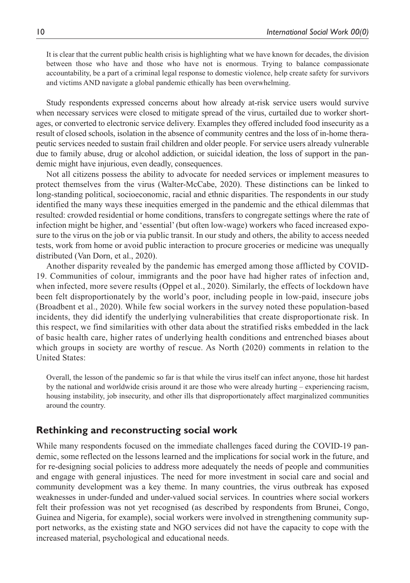It is clear that the current public health crisis is highlighting what we have known for decades, the division between those who have and those who have not is enormous. Trying to balance compassionate accountability, be a part of a criminal legal response to domestic violence, help create safety for survivors and victims AND navigate a global pandemic ethically has been overwhelming.

Study respondents expressed concerns about how already at-risk service users would survive when necessary services were closed to mitigate spread of the virus, curtailed due to worker shortages, or converted to electronic service delivery. Examples they offered included food insecurity as a result of closed schools, isolation in the absence of community centres and the loss of in-home therapeutic services needed to sustain frail children and older people. For service users already vulnerable due to family abuse, drug or alcohol addiction, or suicidal ideation, the loss of support in the pandemic might have injurious, even deadly, consequences.

Not all citizens possess the ability to advocate for needed services or implement measures to protect themselves from the virus (Walter-McCabe, 2020). These distinctions can be linked to long-standing political, socioeconomic, racial and ethnic disparities. The respondents in our study identified the many ways these inequities emerged in the pandemic and the ethical dilemmas that resulted: crowded residential or home conditions, transfers to congregate settings where the rate of infection might be higher, and 'essential' (but often low-wage) workers who faced increased exposure to the virus on the job or via public transit. In our study and others, the ability to access needed tests, work from home or avoid public interaction to procure groceries or medicine was unequally distributed (Van Dorn, et al., 2020).

Another disparity revealed by the pandemic has emerged among those afflicted by COVID-19. Communities of colour, immigrants and the poor have had higher rates of infection and, when infected, more severe results (Oppel et al., 2020). Similarly, the effects of lockdown have been felt disproportionately by the world's poor, including people in low-paid, insecure jobs (Broadbent et al., 2020). While few social workers in the survey noted these population-based incidents, they did identify the underlying vulnerabilities that create disproportionate risk. In this respect, we find similarities with other data about the stratified risks embedded in the lack of basic health care, higher rates of underlying health conditions and entrenched biases about which groups in society are worthy of rescue. As North (2020) comments in relation to the United States:

Overall, the lesson of the pandemic so far is that while the virus itself can infect anyone, those hit hardest by the national and worldwide crisis around it are those who were already hurting – experiencing racism, housing instability, job insecurity, and other ills that disproportionately affect marginalized communities around the country.

### **Rethinking and reconstructing social work**

While many respondents focused on the immediate challenges faced during the COVID-19 pandemic, some reflected on the lessons learned and the implications for social work in the future, and for re-designing social policies to address more adequately the needs of people and communities and engage with general injustices. The need for more investment in social care and social and community development was a key theme. In many countries, the virus outbreak has exposed weaknesses in under-funded and under-valued social services. In countries where social workers felt their profession was not yet recognised (as described by respondents from Brunei, Congo, Guinea and Nigeria, for example), social workers were involved in strengthening community support networks, as the existing state and NGO services did not have the capacity to cope with the increased material, psychological and educational needs.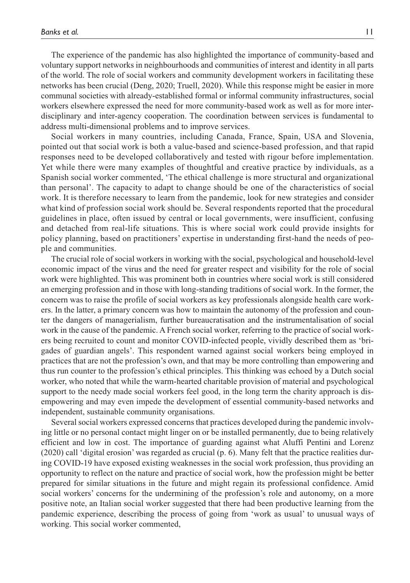The experience of the pandemic has also highlighted the importance of community-based and voluntary support networks in neighbourhoods and communities of interest and identity in all parts of the world. The role of social workers and community development workers in facilitating these networks has been crucial (Deng, 2020; Truell, 2020). While this response might be easier in more communal societies with already-established formal or informal community infrastructures, social workers elsewhere expressed the need for more community-based work as well as for more interdisciplinary and inter-agency cooperation. The coordination between services is fundamental to address multi-dimensional problems and to improve services.

Social workers in many countries, including Canada, France, Spain, USA and Slovenia, pointed out that social work is both a value-based and science-based profession, and that rapid responses need to be developed collaboratively and tested with rigour before implementation. Yet while there were many examples of thoughtful and creative practice by individuals, as a Spanish social worker commented, 'The ethical challenge is more structural and organizational than personal'. The capacity to adapt to change should be one of the characteristics of social work. It is therefore necessary to learn from the pandemic, look for new strategies and consider what kind of profession social work should be. Several respondents reported that the procedural guidelines in place, often issued by central or local governments, were insufficient, confusing and detached from real-life situations. This is where social work could provide insights for policy planning, based on practitioners' expertise in understanding first-hand the needs of people and communities.

The crucial role of social workers in working with the social, psychological and household-level economic impact of the virus and the need for greater respect and visibility for the role of social work were highlighted. This was prominent both in countries where social work is still considered an emerging profession and in those with long-standing traditions of social work. In the former, the concern was to raise the profile of social workers as key professionals alongside health care workers. In the latter, a primary concern was how to maintain the autonomy of the profession and counter the dangers of managerialism, further bureaucratisation and the instrumentalisation of social work in the cause of the pandemic. A French social worker, referring to the practice of social workers being recruited to count and monitor COVID-infected people, vividly described them as 'brigades of guardian angels'. This respondent warned against social workers being employed in practices that are not the profession's own, and that may be more controlling than empowering and thus run counter to the profession's ethical principles. This thinking was echoed by a Dutch social worker, who noted that while the warm-hearted charitable provision of material and psychological support to the needy made social workers feel good, in the long term the charity approach is disempowering and may even impede the development of essential community-based networks and independent, sustainable community organisations.

Several social workers expressed concerns that practices developed during the pandemic involving little or no personal contact might linger on or be installed permanently, due to being relatively efficient and low in cost. The importance of guarding against what Aluffi Pentini and Lorenz (2020) call 'digital erosion' was regarded as crucial (p. 6). Many felt that the practice realities during COVID-19 have exposed existing weaknesses in the social work profession, thus providing an opportunity to reflect on the nature and practice of social work, how the profession might be better prepared for similar situations in the future and might regain its professional confidence. Amid social workers' concerns for the undermining of the profession's role and autonomy, on a more positive note, an Italian social worker suggested that there had been productive learning from the pandemic experience, describing the process of going from 'work as usual' to unusual ways of working. This social worker commented,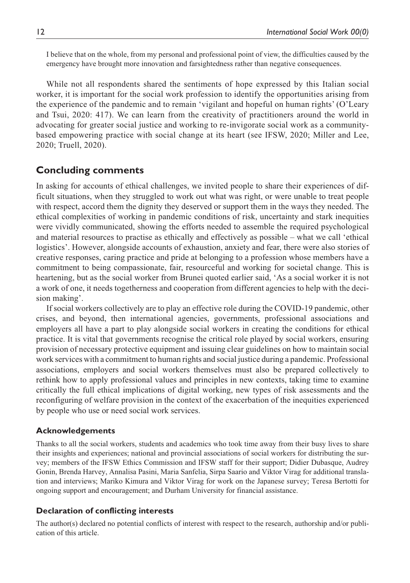I believe that on the whole, from my personal and professional point of view, the difficulties caused by the emergency have brought more innovation and farsightedness rather than negative consequences.

While not all respondents shared the sentiments of hope expressed by this Italian social worker, it is important for the social work profession to identify the opportunities arising from the experience of the pandemic and to remain 'vigilant and hopeful on human rights' (O'Leary and Tsui, 2020: 417). We can learn from the creativity of practitioners around the world in advocating for greater social justice and working to re-invigorate social work as a communitybased empowering practice with social change at its heart (see IFSW, 2020; Miller and Lee, 2020; Truell, 2020).

### **Concluding comments**

In asking for accounts of ethical challenges, we invited people to share their experiences of difficult situations, when they struggled to work out what was right, or were unable to treat people with respect, accord them the dignity they deserved or support them in the ways they needed. The ethical complexities of working in pandemic conditions of risk, uncertainty and stark inequities were vividly communicated, showing the efforts needed to assemble the required psychological and material resources to practise as ethically and effectively as possible – what we call 'ethical logistics'. However, alongside accounts of exhaustion, anxiety and fear, there were also stories of creative responses, caring practice and pride at belonging to a profession whose members have a commitment to being compassionate, fair, resourceful and working for societal change. This is heartening, but as the social worker from Brunei quoted earlier said, 'As a social worker it is not a work of one, it needs togetherness and cooperation from different agencies to help with the decision making'.

If social workers collectively are to play an effective role during the COVID-19 pandemic, other crises, and beyond, then international agencies, governments, professional associations and employers all have a part to play alongside social workers in creating the conditions for ethical practice. It is vital that governments recognise the critical role played by social workers, ensuring provision of necessary protective equipment and issuing clear guidelines on how to maintain social work services with a commitment to human rights and social justice during a pandemic. Professional associations, employers and social workers themselves must also be prepared collectively to rethink how to apply professional values and principles in new contexts, taking time to examine critically the full ethical implications of digital working, new types of risk assessments and the reconfiguring of welfare provision in the context of the exacerbation of the inequities experienced by people who use or need social work services.

#### **Acknowledgements**

Thanks to all the social workers, students and academics who took time away from their busy lives to share their insights and experiences; national and provincial associations of social workers for distributing the survey; members of the IFSW Ethics Commission and IFSW staff for their support; Didier Dubasque, Audrey Gonin, Brenda Harvey, Annalisa Pasini, Maria Sanfelia, Sirpa Saario and Viktor Virag for additional translation and interviews; Mariko Kimura and Viktor Virag for work on the Japanese survey; Teresa Bertotti for ongoing support and encouragement; and Durham University for financial assistance.

#### **Declaration of conflicting interests**

The author(s) declared no potential conflicts of interest with respect to the research, authorship and/or publication of this article.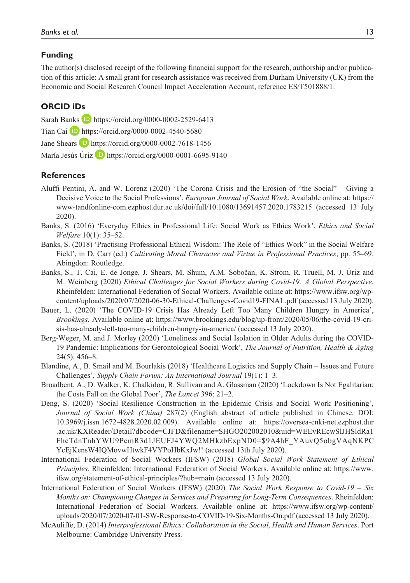#### **Funding**

The author(s) disclosed receipt of the following financial support for the research, authorship and/or publication of this article: A small grant for research assistance was received from Durham University (UK) from the Economic and Social Research Council Impact Acceleration Account, reference ES/T501888/1.

#### **ORCID iDs**

Sarah Banks D <https://orcid.org/0000-0002-2529-6413> Tian Cai **D** <https://orcid.org/0000-0002-4540-5680> Jane Shears **D** <https://orcid.org/0000-0002-7618-1456> María Jesús Úriz D <https://orcid.org/0000-0001-6695-9140>

#### **References**

- Aluffi Pentini, A. and W. Lorenz (2020) 'The Corona Crisis and the Erosion of "the Social" Giving a Decisive Voice to the Social Professions', *European Journal of Social Work*. Available online at: [https://](https://www-tandfonline-com.ezphost.dur.ac.uk/doi/full/10.1080/13691457.2020.1783215) [www-tandfonline-com.ezphost.dur.ac.uk/doi/full/10.1080/13691457.2020.1783215](https://www-tandfonline-com.ezphost.dur.ac.uk/doi/full/10.1080/13691457.2020.1783215) (accessed 13 July 2020).
- Banks, S. (2016) 'Everyday Ethics in Professional Life: Social Work as Ethics Work', *Ethics and Social Welfare* 10(1): 35–52.
- Banks, S. (2018) 'Practising Professional Ethical Wisdom: The Role of "Ethics Work" in the Social Welfare Field', in D. Carr (ed.) *Cultivating Moral Character and Virtue in Professional Practices*, pp. 55–69. Abingdon: Routledge.
- Banks, S., T. Cai, E. de Jonge, J. Shears, M. Shum, A.M. Sobočan, K. Strom, R. Truell, M. J. Úriz and M. Weinberg (2020) *Ethical Challenges for Social Workers during Covid-19: A Global Perspective*. Rheinfelden: International Federation of Social Workers. Available online at: [https://www.ifsw.org/wp](https://www.ifsw.org/wp-content/uploads/2020/07/2020-06-30-Ethical-Challenges-Covid19-FINAL.pdf)[content/uploads/2020/07/2020-06-30-Ethical-Challenges-Covid19-FINAL.pdf](https://www.ifsw.org/wp-content/uploads/2020/07/2020-06-30-Ethical-Challenges-Covid19-FINAL.pdf) (accessed 13 July 2020).
- Bauer, L. (2020) 'The COVID-19 Crisis Has Already Left Too Many Children Hungry in America', *Brookings*. Available online at: [https://www.brookings.edu/blog/up-front/2020/05/06/the-covid-19-cri](https://www.brookings.edu/blog/up-front/2020/05/06/the-covid-19-crisis-has-already-left-too-many-children-hungry-in-america/)[sis-has-already-left-too-many-children-hungry-in-america/](https://www.brookings.edu/blog/up-front/2020/05/06/the-covid-19-crisis-has-already-left-too-many-children-hungry-in-america/) (accessed 13 July 2020).
- Berg-Weger, M. and J. Morley (2020) 'Loneliness and Social Isolation in Older Adults during the COVID-19 Pandemic: Implications for Gerontological Social Work', *The Journal of Nutrition, Health & Aging* 24(5): 456–8.
- Blandine, A., B. Smail and M. Bourlakis (2018) 'Healthcare Logistics and Supply Chain Issues and Future Challenges', *Supply Chain Forum: An International Journal* 19(1): 1–3.
- Broadbent, A., D. Walker, K. Chalkidou, R. Sullivan and A. Glassman (2020) 'Lockdown Is Not Egalitarian: the Costs Fall on the Global Poor', *The Lancet* 396: 21–2.
- Deng, S. (2020) 'Social Resilience Construction in the Epidemic Crisis and Social Work Positioning', *Journal of Social Work (China)* 287(2) (English abstract of article published in Chinese. DOI: 10.3969/j.issn.1672-4828.2020.02.009). Available online at: [https://oversea-cnki-net.ezphost.dur](https://oversea-cnki-net.ezphost.dur.ac.uk/KXReader/Detail?dbcode=CJFD&filename=SHGO202002010&uid=WEEvREcwSlJHSldRa1FhcTdnTnhYWU9PcmR3d1JEUFJ4YWQ2MHkzbExpND0=$9A4hF_YAuvQ5obgVAqNKPCYcEjKensW4IQMovwHtwkF4VYPoHbKxJw!!) [.ac.uk/KXReader/Detail?dbcode=CJFD&filename=SHGO202002010&uid=WEEvREcwSlJHSldRa1](https://oversea-cnki-net.ezphost.dur.ac.uk/KXReader/Detail?dbcode=CJFD&filename=SHGO202002010&uid=WEEvREcwSlJHSldRa1FhcTdnTnhYWU9PcmR3d1JEUFJ4YWQ2MHkzbExpND0=$9A4hF_YAuvQ5obgVAqNKPCYcEjKensW4IQMovwHtwkF4VYPoHbKxJw!!) [FhcTdnTnhYWU9PcmR3d1JEUFJ4YWQ2MHkzbExpND0=\\$9A4hF\\_YAuvQ5obgVAqNKPC](https://oversea-cnki-net.ezphost.dur.ac.uk/KXReader/Detail?dbcode=CJFD&filename=SHGO202002010&uid=WEEvREcwSlJHSldRa1FhcTdnTnhYWU9PcmR3d1JEUFJ4YWQ2MHkzbExpND0=$9A4hF_YAuvQ5obgVAqNKPCYcEjKensW4IQMovwHtwkF4VYPoHbKxJw!!) [YcEjKensW4IQMovwHtwkF4VYPoHbKxJw!!](https://oversea-cnki-net.ezphost.dur.ac.uk/KXReader/Detail?dbcode=CJFD&filename=SHGO202002010&uid=WEEvREcwSlJHSldRa1FhcTdnTnhYWU9PcmR3d1JEUFJ4YWQ2MHkzbExpND0=$9A4hF_YAuvQ5obgVAqNKPCYcEjKensW4IQMovwHtwkF4VYPoHbKxJw!!) (accessed 13th July 2020).
- International Federation of Social Workers (IFSW) (2018) *Global Social Work Statement of Ethical Principles*. Rheinfelden: International Federation of Social Workers. Available online at: [https://www.](https://www.ifsw.org/statement-of-ethical-principles/?hub=main) [ifsw.org/statement-of-ethical-principles/?hub=main](https://www.ifsw.org/statement-of-ethical-principles/?hub=main) (accessed 13 July 2020).
- International Federation of Social Workers (IFSW) (2020) *The Social Work Response to Covid-19 Six Months on: Championing Changes in Services and Preparing for Long-Term Consequences*. Rheinfelden: International Federation of Social Workers. Available online at: [https://www.ifsw.org/wp-content/](https://www.ifsw.org/wp-content/uploads/2020/07/2020-07-01-SW-Response-to-COVID-19-Six-Months-On.pdf) [uploads/2020/07/2020-07-01-SW-Response-to-COVID-19-Six-Months-On.pdf](https://www.ifsw.org/wp-content/uploads/2020/07/2020-07-01-SW-Response-to-COVID-19-Six-Months-On.pdf) (accessed 13 July 2020).
- McAuliffe, D. (2014) *Interprofessional Ethics: Collaboration in the Social, Health and Human Services*. Port Melbourne: Cambridge University Press.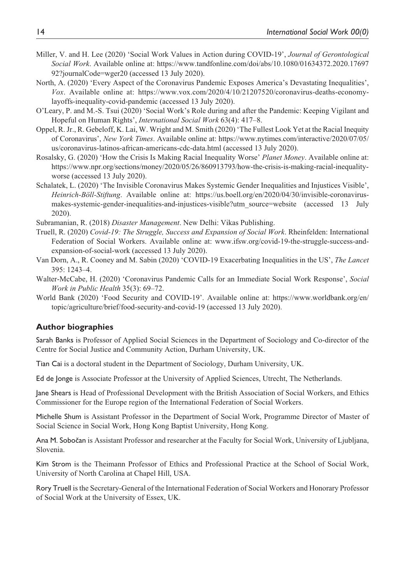- Miller, V. and H. Lee (2020) 'Social Work Values in Action during COVID-19', *Journal of Gerontological Social Work*. Available online at: [https://www.tandfonline.com/doi/abs/10.1080/01634372.2020.17697](https://www.tandfonline.com/doi/abs/10.1080/01634372.2020.1769792?journalCode=wger20) [92?journalCode=wger20](https://www.tandfonline.com/doi/abs/10.1080/01634372.2020.1769792?journalCode=wger20) (accessed 13 July 2020).
- North, A. (2020) 'Every Aspect of the Coronavirus Pandemic Exposes America's Devastating Inequalities', *Vox*. Available online at: [https://www.vox.com/2020/4/10/21207520/coronavirus-deaths-economy](https://www.vox.com/2020/4/10/21207520/coronavirus-deaths-economy-layoffs-inequality-covid-pandemic)[layoffs-inequality-covid-pandemic](https://www.vox.com/2020/4/10/21207520/coronavirus-deaths-economy-layoffs-inequality-covid-pandemic) (accessed 13 July 2020).
- O'Leary, P. and M.-S. Tsui (2020) 'Social Work's Role during and after the Pandemic: Keeping Vigilant and Hopeful on Human Rights', *International Social Work* 63(4): 417–8.
- Oppel, R. Jr., R. Gebeloff, K. Lai, W. Wright and M. Smith (2020) 'The Fullest Look Yet at the Racial Inequity of Coronavirus', *New York Times*. Available online at: [https://www.nytimes.com/interactive/2020/07/05/](https://www.nytimes.com/interactive/2020/07/05/us/coronavirus-latinos-african-americans-cdc-data.html) [us/coronavirus-latinos-african-americans-cdc-data.html](https://www.nytimes.com/interactive/2020/07/05/us/coronavirus-latinos-african-americans-cdc-data.html) (accessed 13 July 2020).
- Rosalsky, G. (2020) 'How the Crisis Is Making Racial Inequality Worse' *Planet Money*. Available online at: [https://www.npr.org/sections/money/2020/05/26/860913793/how-the-crisis-is-making-racial-inequality](https://www.npr.org/sections/money/2020/05/26/860913793/how-the-crisis-is-making-racial-inequality-worse)[worse](https://www.npr.org/sections/money/2020/05/26/860913793/how-the-crisis-is-making-racial-inequality-worse) (accessed 13 July 2020).
- Schalatek, L. (2020) 'The Invisible Coronavirus Makes Systemic Gender Inequalities and Injustices Visible', *Heinrich-Böll-Stiftung*. Available online at: [https://us.boell.org/en/2020/04/30/invisible-coronavirus](https://us.boell.org/en/2020/04/30/invisible-coronavirus-makes-systemic-gender-inequalities-and-injustices-visible?utm_source=website)[makes-systemic-gender-inequalities-and-injustices-visible?utm\\_source=website](https://us.boell.org/en/2020/04/30/invisible-coronavirus-makes-systemic-gender-inequalities-and-injustices-visible?utm_source=website) (accessed 13 July 2020).
- Subramanian, R. (2018) *Disaster Management*. New Delhi: Vikas Publishing.
- Truell, R. (2020) *Covid-19: The Struggle, Success and Expansion of Social Work*. Rheinfelden: International Federation of Social Workers. Available online at: [www.ifsw.org/covid-19-the-struggle-success-and](www.ifsw.org/covid-19-the-struggle-success-and-expansion-of-social-work)[expansion-of-social-work](www.ifsw.org/covid-19-the-struggle-success-and-expansion-of-social-work) (accessed 13 July 2020).
- Van Dorn, A., R. Cooney and M. Sabin (2020) 'COVID-19 Exacerbating Inequalities in the US', *The Lancet* 395: 1243–4.
- Walter-McCabe, H. (2020) 'Coronavirus Pandemic Calls for an Immediate Social Work Response', *Social Work in Public Health* 35(3): 69–72.
- World Bank (2020) 'Food Security and COVID-19'. Available online at: [https://www.worldbank.org/en/](https://www.worldbank.org/en/topic/agriculture/brief/food-security-and-covid-19) [topic/agriculture/brief/food-security-and-covid-19](https://www.worldbank.org/en/topic/agriculture/brief/food-security-and-covid-19) (accessed 13 July 2020).

#### **Author biographies**

Sarah Banks is Professor of Applied Social Sciences in the Department of Sociology and Co-director of the Centre for Social Justice and Community Action, Durham University, UK.

Tian Cai is a doctoral student in the Department of Sociology, Durham University, UK.

Ed de Jonge is Associate Professor at the University of Applied Sciences, Utrecht, The Netherlands.

Jane Shears is Head of Professional Development with the British Association of Social Workers, and Ethics Commissioner for the Europe region of the International Federation of Social Workers.

Michelle Shum is Assistant Professor in the Department of Social Work, Programme Director of Master of Social Science in Social Work, Hong Kong Baptist University, Hong Kong.

Ana M. Sobočan is Assistant Professor and researcher at the Faculty for Social Work, University of Ljubljana, Slovenia.

Kim Strom is the Theimann Professor of Ethics and Professional Practice at the School of Social Work, University of North Carolina at Chapel Hill, USA.

Rory Truell is the Secretary-General of the International Federation of Social Workers and Honorary Professor of Social Work at the University of Essex, UK.